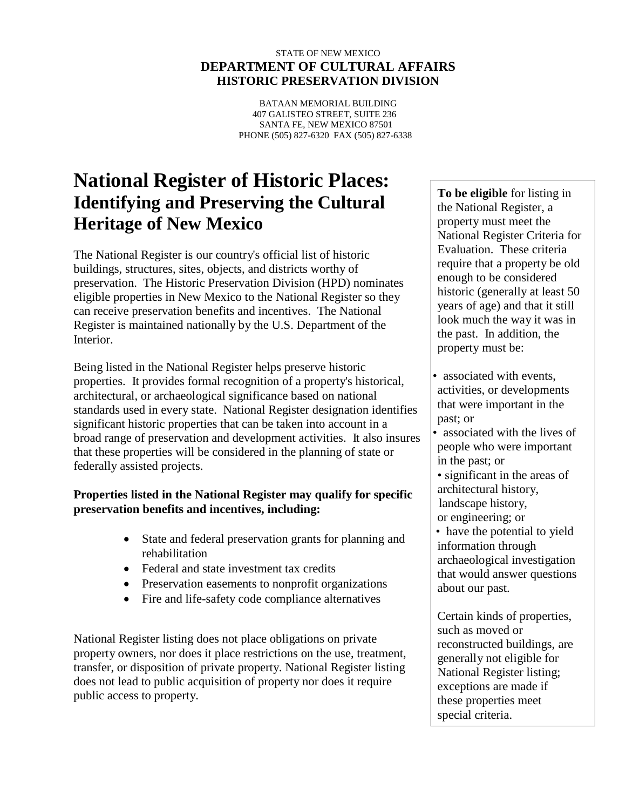#### STATE OF NEW MEXICO **DEPARTMENT OF CULTURAL AFFAIRS HISTORIC PRESERVATION DIVISION**

BATAAN MEMORIAL BUILDING 407 GALISTEO STREET, SUITE 236 SANTA FE, NEW MEXICO 87501 PHONE (505) 827-6320 FAX (505) 827-6338

# **National Register of Historic Places: Identifying and Preserving the Cultural Heritage of New Mexico**

The National Register is our country's official list of historic buildings, structures, sites, objects, and districts worthy of preservation. The Historic Preservation Division (HPD) nominates eligible properties in New Mexico to the National Register so they can receive preservation benefits and incentives. The National Register is maintained nationally by the U.S. Department of the Interior.

Being listed in the National Register helps preserve historic properties. It provides formal recognition of a property's historical, architectural, or archaeological significance based on national standards used in every state. National Register designation identifies significant historic properties that can be taken into account in a broad range of preservation and development activities. It also insures that these properties will be considered in the planning of state or federally assisted projects.

### **Properties listed in the National Register may qualify for specific preservation benefits and incentives, including:**

- State and federal preservation grants for planning and rehabilitation
- Federal and state investment tax credits
- Preservation easements to nonprofit organizations
- Fire and life-safety code compliance alternatives

National Register listing does not place obligations on private property owners, nor does it place restrictions on the use, treatment, transfer, or disposition of private property. National Register listing does not lead to public acquisition of property nor does it require public access to property.

**To be eligible** for listing in the National Register, a property must meet the National Register Criteria for Evaluation. These criteria require that a property be old enough to be considered historic (generally at least 50 years of age) and that it still look much the way it was in the past. In addition, the property must be:

- associated with events, activities, or developments that were important in the past; or
- associated with the lives of people who were important in the past; or
- significant in the areas of architectural history, landscape history, or engineering; or
- have the potential to yield information through archaeological investigation that would answer questions about our past.

Certain kinds of properties, such as moved or reconstructed buildings, are generally not eligible for National Register listing; exceptions are made if these properties meet special criteria.